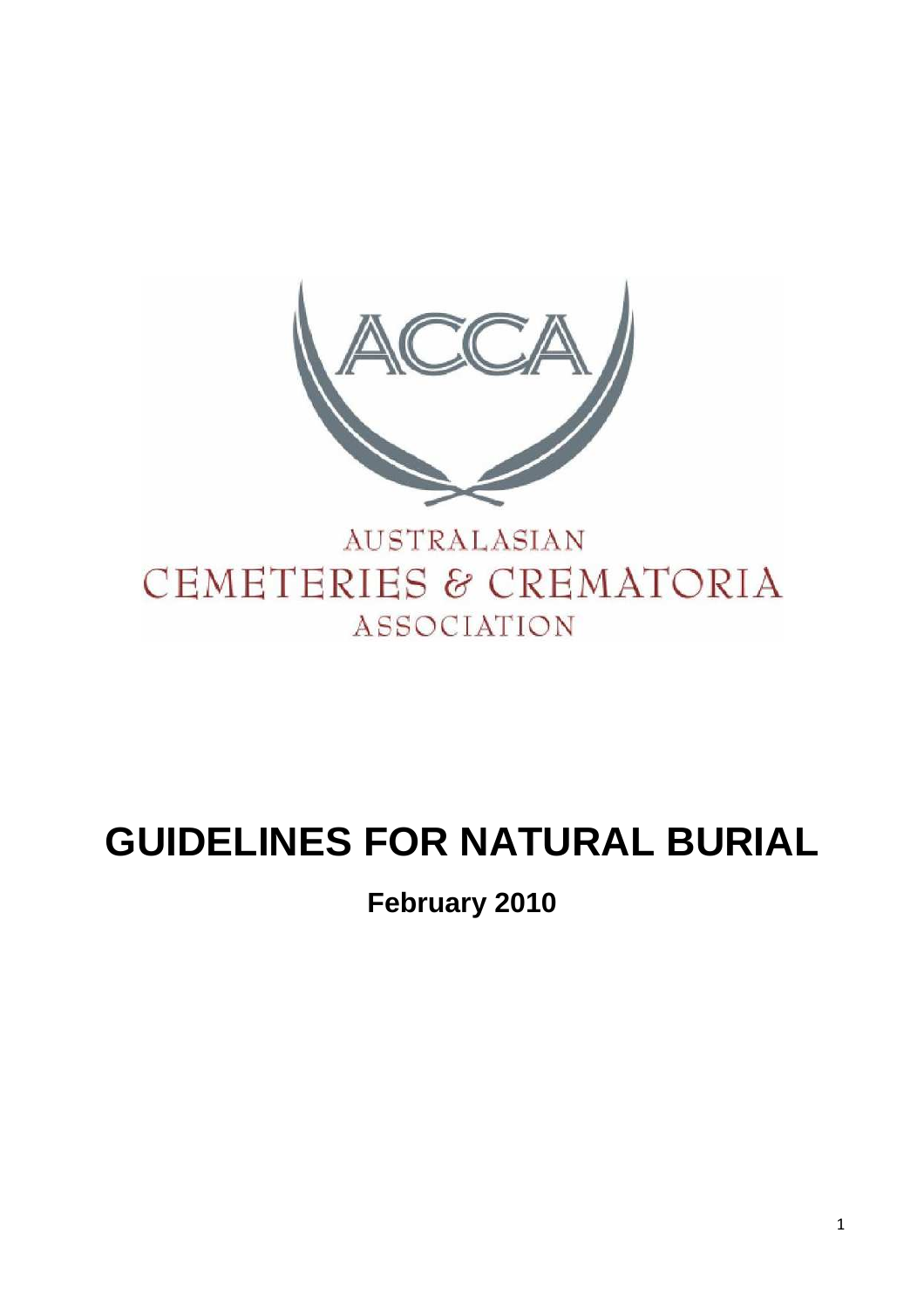

# **GUIDELINES FOR NATURAL BURIAL**

**February 2010**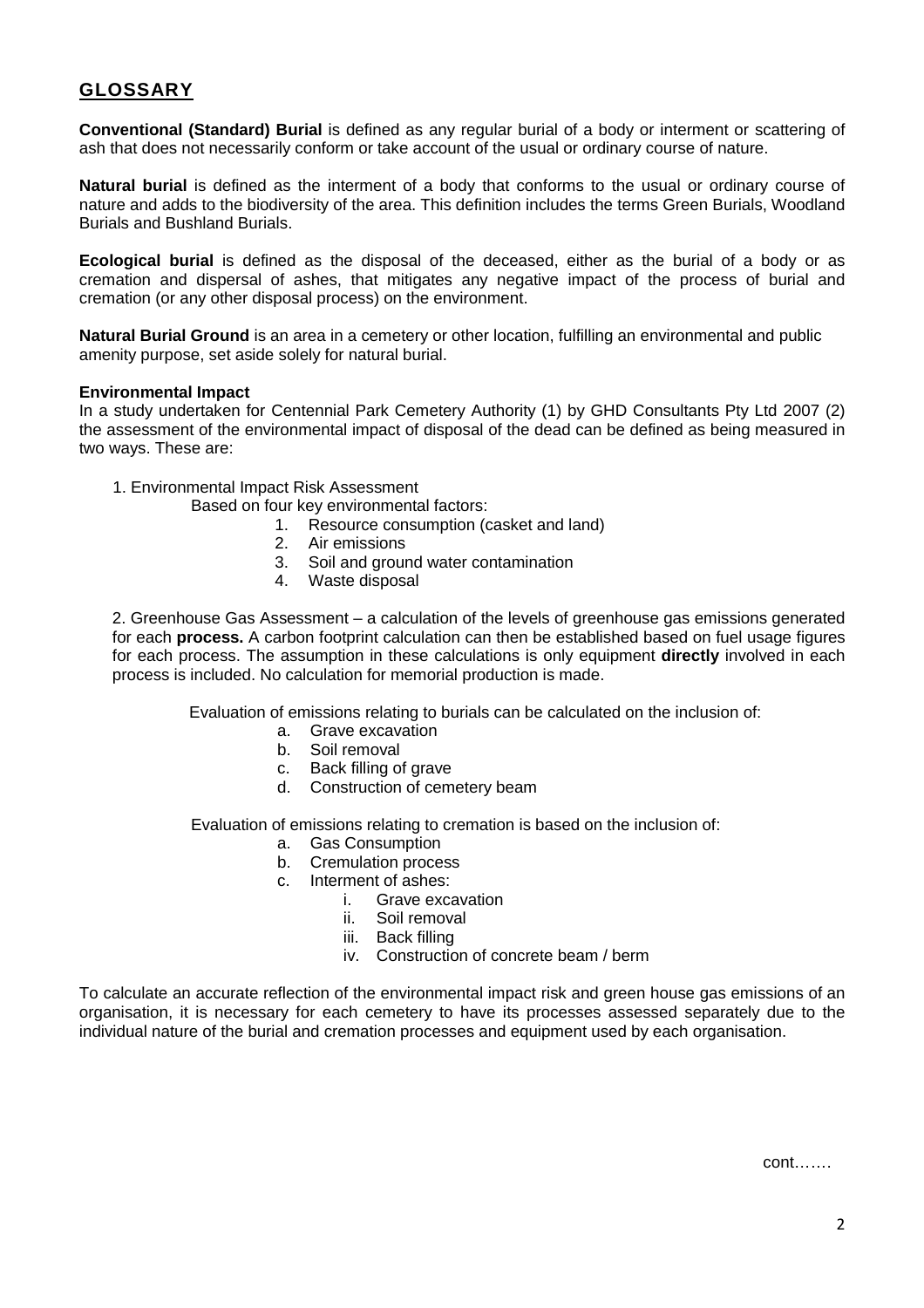# **GLOSSARY**

**Conventional (Standard) Burial** is defined as any regular burial of a body or interment or scattering of ash that does not necessarily conform or take account of the usual or ordinary course of nature.

**Natural burial** is defined as the interment of a body that conforms to the usual or ordinary course of nature and adds to the biodiversity of the area. This definition includes the terms Green Burials, Woodland Burials and Bushland Burials.

**Ecological burial** is defined as the disposal of the deceased, either as the burial of a body or as cremation and dispersal of ashes, that mitigates any negative impact of the process of burial and cremation (or any other disposal process) on the environment.

**Natural Burial Ground** is an area in a cemetery or other location, fulfilling an environmental and public amenity purpose, set aside solely for natural burial.

# **Environmental Impact**

In a study undertaken for Centennial Park Cemetery Authority (1) by GHD Consultants Pty Ltd 2007 (2) the assessment of the environmental impact of disposal of the dead can be defined as being measured in two ways. These are:

1. Environmental Impact Risk Assessment

Based on four key environmental factors:

- 1. Resource consumption (casket and land)
- 2. Air emissions
- 3. Soil and ground water contamination
- 4. Waste disposal

2. Greenhouse Gas Assessment – a calculation of the levels of greenhouse gas emissions generated for each **process.** A carbon footprint calculation can then be established based on fuel usage figures for each process. The assumption in these calculations is only equipment **directly** involved in each process is included. No calculation for memorial production is made.

Evaluation of emissions relating to burials can be calculated on the inclusion of:

- a. Grave excavation
- b. Soil removal
- c. Back filling of grave
- d. Construction of cemetery beam

Evaluation of emissions relating to cremation is based on the inclusion of:

- a. Gas Consumption
- b. Cremulation process
- c. Interment of ashes:
	- i. Grave excavation
	- ii. Soil removal
	- iii. Back filling
	- iv. Construction of concrete beam / berm

To calculate an accurate reflection of the environmental impact risk and green house gas emissions of an organisation, it is necessary for each cemetery to have its processes assessed separately due to the individual nature of the burial and cremation processes and equipment used by each organisation.

 $\mathsf{cont}.\ldots.\mathsf{cont}.\ldots$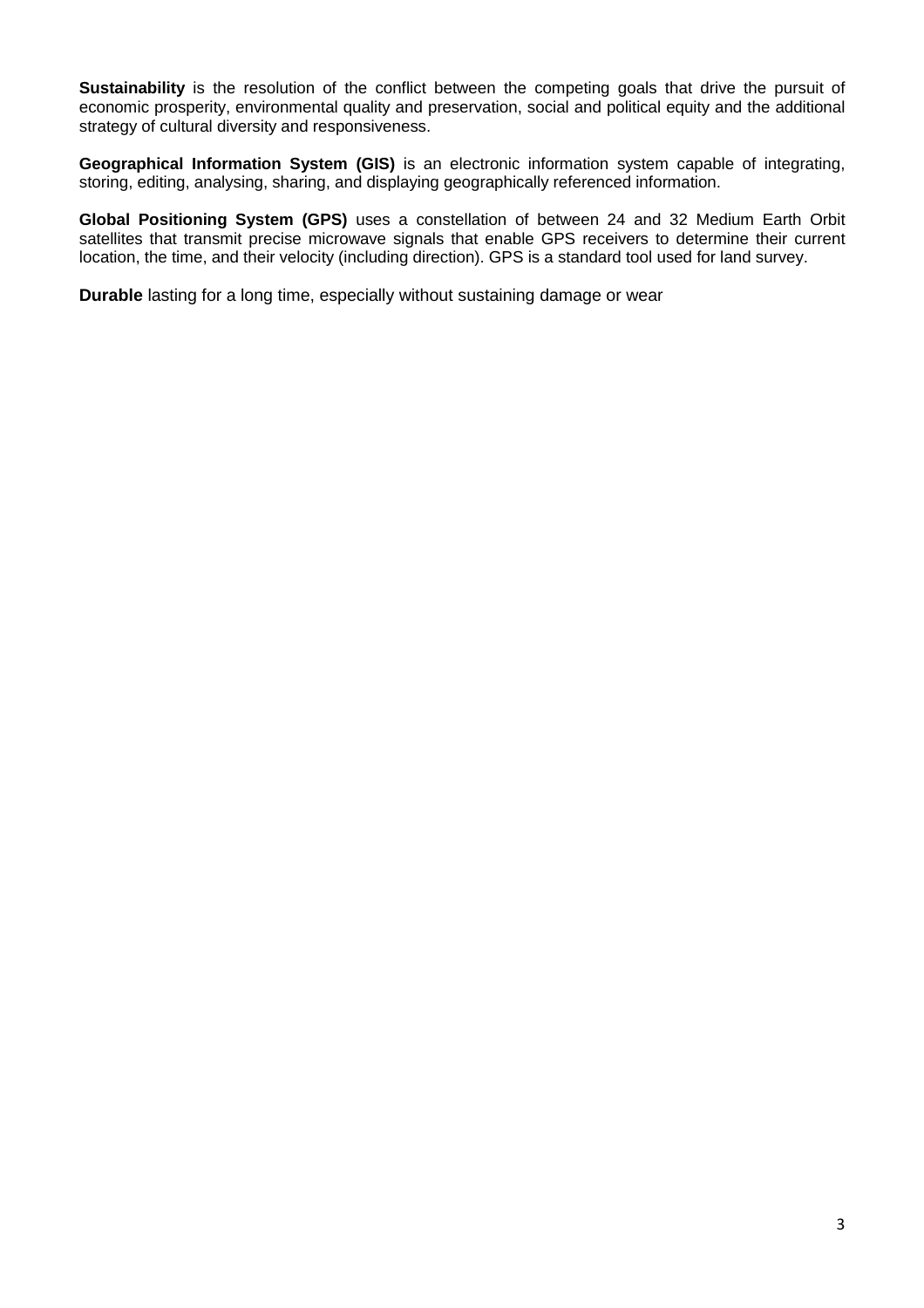**Sustainability** is the resolution of the conflict between the competing goals that drive the pursuit of economic prosperity, environmental quality and preservation, social and political equity and the additional strategy of cultural diversity and responsiveness.

**Geographical Information System (GIS)** is an electronic information system capable of integrating, storing, editing, analysing, sharing, and displaying geographically referenced information.

**Global Positioning System (GPS)** uses a constellation of between 24 and 32 Medium Earth Orbit satellites that transmit precise microwave signals that enable GPS receivers to determine their current location, the time, and their velocity (including direction). GPS is a standard tool used for land survey.

**Durable** lasting for a long time, especially without sustaining damage or wear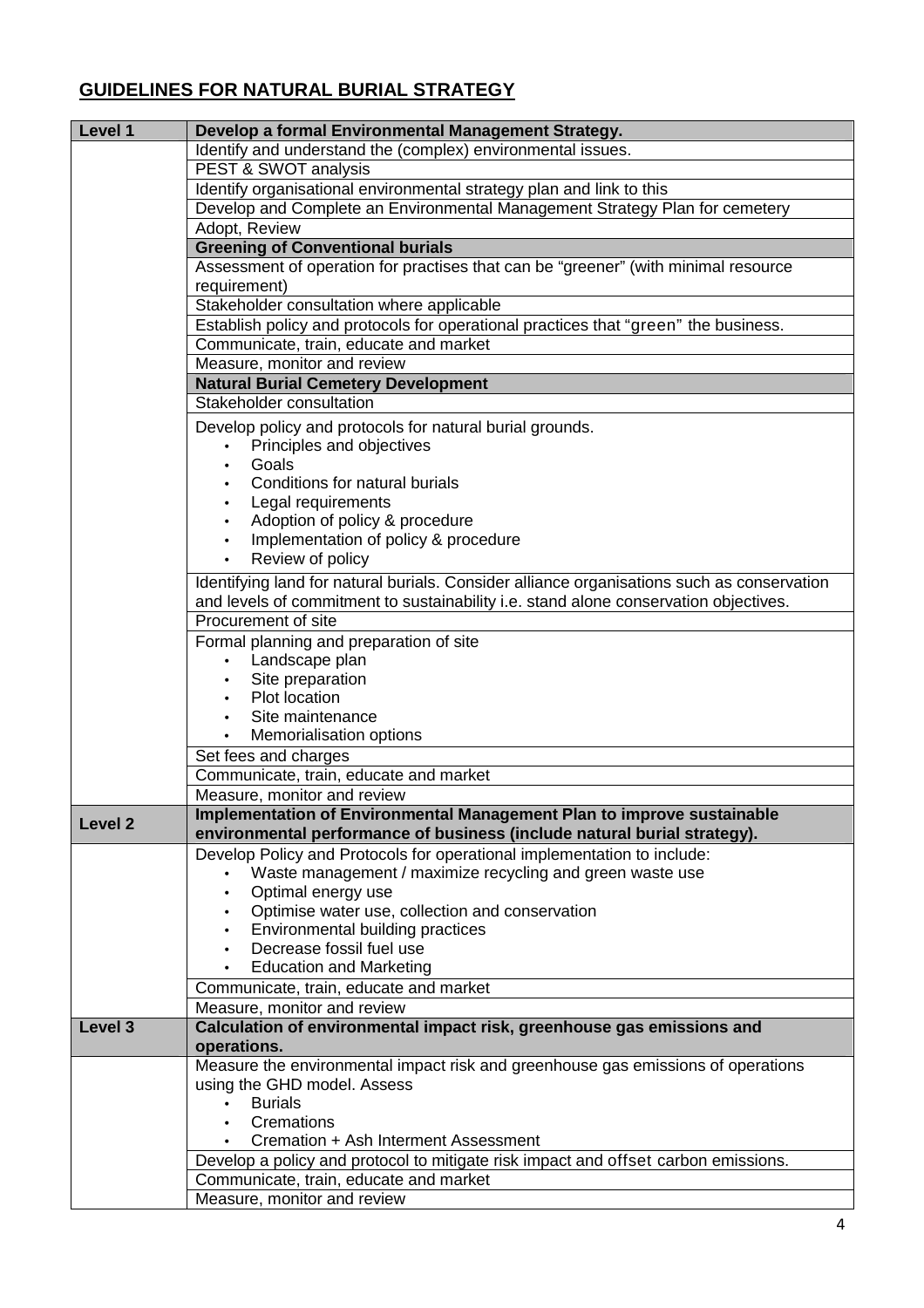# **GUIDELINES FOR NATURAL BURIAL STRATEGY**

| Level 1            | Develop a formal Environmental Management Strategy.                                        |
|--------------------|--------------------------------------------------------------------------------------------|
|                    | Identify and understand the (complex) environmental issues.                                |
|                    | PEST & SWOT analysis                                                                       |
|                    | Identify organisational environmental strategy plan and link to this                       |
|                    | Develop and Complete an Environmental Management Strategy Plan for cemetery                |
|                    | Adopt, Review                                                                              |
|                    | <b>Greening of Conventional burials</b>                                                    |
|                    | Assessment of operation for practises that can be "greener" (with minimal resource         |
|                    | requirement)                                                                               |
|                    | Stakeholder consultation where applicable                                                  |
|                    | Establish policy and protocols for operational practices that "green" the business.        |
|                    | Communicate, train, educate and market                                                     |
|                    | Measure, monitor and review                                                                |
|                    | <b>Natural Burial Cemetery Development</b>                                                 |
|                    | Stakeholder consultation                                                                   |
|                    |                                                                                            |
|                    | Develop policy and protocols for natural burial grounds.                                   |
|                    | Principles and objectives                                                                  |
|                    | Goals                                                                                      |
|                    | Conditions for natural burials                                                             |
|                    | Legal requirements                                                                         |
|                    | Adoption of policy & procedure                                                             |
|                    | Implementation of policy & procedure                                                       |
|                    | Review of policy                                                                           |
|                    | Identifying land for natural burials. Consider alliance organisations such as conservation |
|                    | and levels of commitment to sustainability i.e. stand alone conservation objectives.       |
|                    | Procurement of site                                                                        |
|                    | Formal planning and preparation of site                                                    |
|                    | Landscape plan                                                                             |
|                    | Site preparation                                                                           |
|                    | Plot location                                                                              |
|                    | Site maintenance                                                                           |
|                    | Memorialisation options                                                                    |
|                    | Set fees and charges                                                                       |
|                    | Communicate, train, educate and market                                                     |
|                    | Measure, monitor and review                                                                |
|                    | Implementation of Environmental Management Plan to improve sustainable                     |
| Level <sub>2</sub> | environmental performance of business (include natural burial strategy).                   |
|                    |                                                                                            |
|                    | Develop Policy and Protocols for operational implementation to include:                    |
|                    | Waste management / maximize recycling and green waste use                                  |
|                    | Optimal energy use                                                                         |
|                    | Optimise water use, collection and conservation                                            |
|                    | Environmental building practices                                                           |
|                    | Decrease fossil fuel use                                                                   |
|                    | <b>Education and Marketing</b>                                                             |
|                    | Communicate, train, educate and market                                                     |
|                    | Measure, monitor and review                                                                |
| Level 3            | Calculation of environmental impact risk, greenhouse gas emissions and                     |
|                    | operations.                                                                                |
|                    | Measure the environmental impact risk and greenhouse gas emissions of operations           |
|                    | using the GHD model. Assess                                                                |
|                    | <b>Burials</b>                                                                             |
|                    | Cremations                                                                                 |
|                    | Cremation + Ash Interment Assessment                                                       |
|                    | Develop a policy and protocol to mitigate risk impact and offset carbon emissions.         |
|                    | Communicate, train, educate and market                                                     |
|                    | Measure, monitor and review                                                                |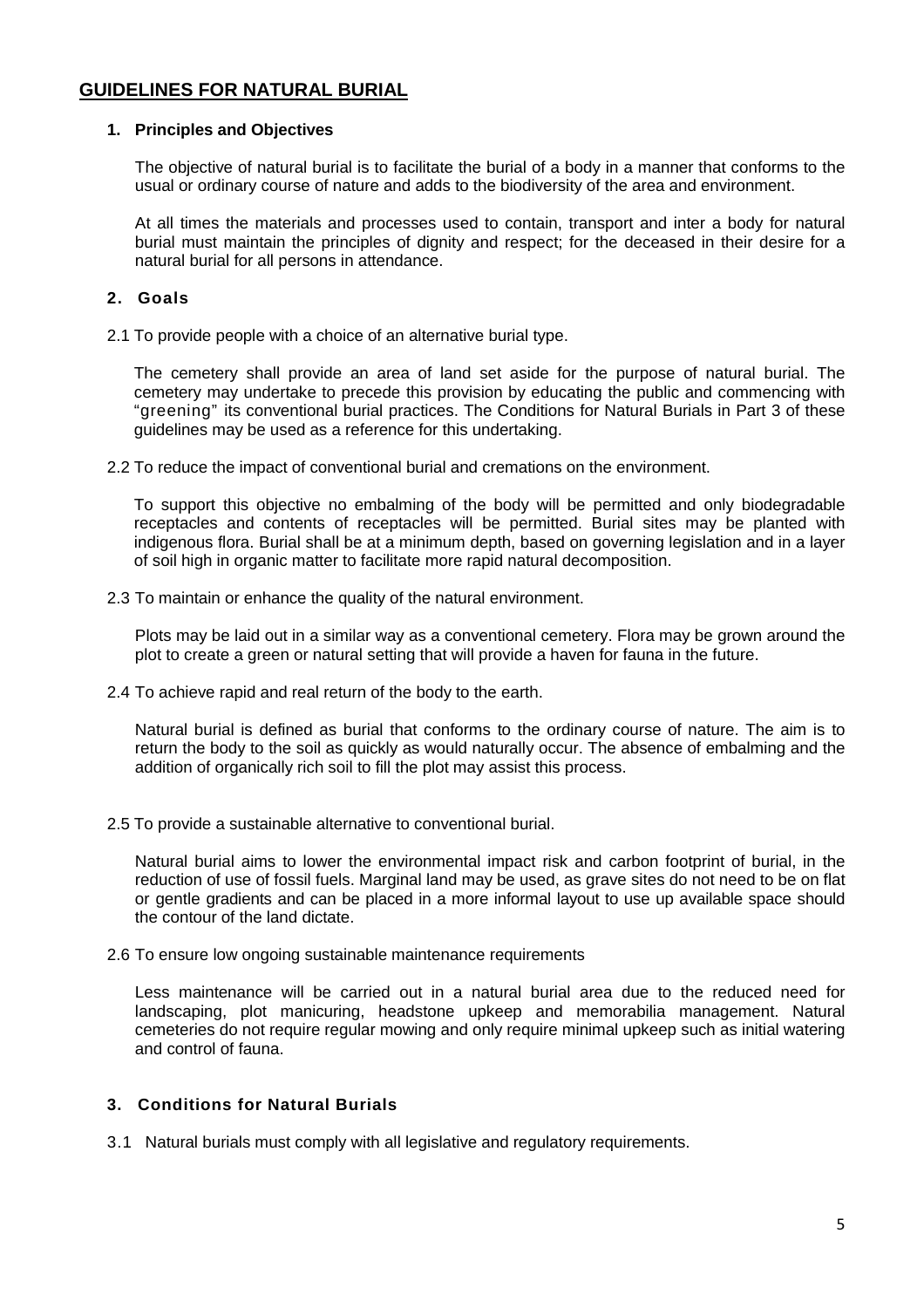# **GUIDELINES FOR NATURAL BURIAL**

# **1. Principles and Objectives**

The objective of natural burial is to facilitate the burial of a body in a manner that conforms to the usual or ordinary course of nature and adds to the biodiversity of the area and environment.

At all times the materials and processes used to contain, transport and inter a body for natural burial must maintain the principles of dignity and respect; for the deceased in their desire for a natural burial for all persons in attendance.

# **2. Goals**

2.1 To provide people with a choice of an alternative burial type.

The cemetery shall provide an area of land set aside for the purpose of natural burial. The cemetery may undertake to precede this provision by educating the public and commencing with "greening" its conventional burial practices. The Conditions for Natural Burials in Part 3 of these guidelines may be used as a reference for this undertaking.

2.2 To reduce the impact of conventional burial and cremations on the environment.

To support this objective no embalming of the body will be permitted and only biodegradable receptacles and contents of receptacles will be permitted. Burial sites may be planted with indigenous flora. Burial shall be at a minimum depth, based on governing legislation and in a layer of soil high in organic matter to facilitate more rapid natural decomposition.

2.3 To maintain or enhance the quality of the natural environment.

Plots may be laid out in a similar way as a conventional cemetery. Flora may be grown around the plot to create a green or natural setting that will provide a haven for fauna in the future.

2.4 To achieve rapid and real return of the body to the earth.

Natural burial is defined as burial that conforms to the ordinary course of nature. The aim is to return the body to the soil as quickly as would naturally occur. The absence of embalming and the addition of organically rich soil to fill the plot may assist this process.

2.5 To provide a sustainable alternative to conventional burial.

 Natural burial aims to lower the environmental impact risk and carbon footprint of burial, in the reduction of use of fossil fuels. Marginal land may be used, as grave sites do not need to be on flat or gentle gradients and can be placed in a more informal layout to use up available space should the contour of the land dictate.

2.6 To ensure low ongoing sustainable maintenance requirements

Less maintenance will be carried out in a natural burial area due to the reduced need for landscaping, plot manicuring, headstone upkeep and memorabilia management. Natural cemeteries do not require regular mowing and only require minimal upkeep such as initial watering and control of fauna.

# **3. Conditions for Natural Burials**

3.1 Natural burials must comply with all legislative and regulatory requirements.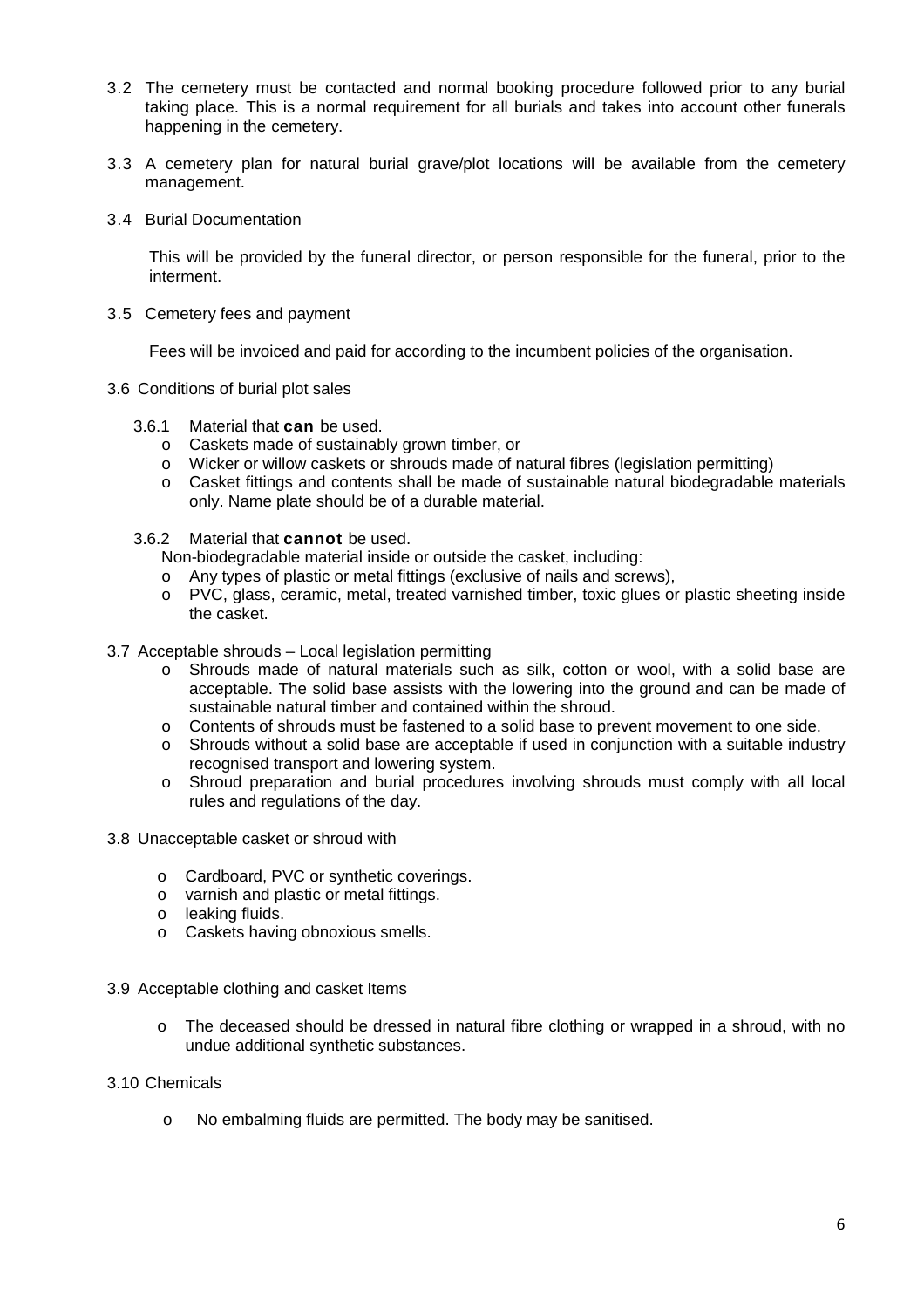- 3.2 The cemetery must be contacted and normal booking procedure followed prior to any burial taking place. This is a normal requirement for all burials and takes into account other funerals happening in the cemetery.
- 3.3 A cemetery plan for natural burial grave/plot locations will be available from the cemetery management.
- 3.4 Burial Documentation

This will be provided by the funeral director, or person responsible for the funeral, prior to the interment.

3.5 Cemetery fees and payment

Fees will be invoiced and paid for according to the incumbent policies of the organisation.

- 3.6 Conditions of burial plot sales
	- 3.6.1 Material that **can** be used.
		- o Caskets made of sustainably grown timber, or
		- o Wicker or willow caskets or shrouds made of natural fibres (legislation permitting)
		- o Casket fittings and contents shall be made of sustainable natural biodegradable materials only. Name plate should be of a durable material.
	- 3.6.2 Material that **cannot** be used.

Non-biodegradable material inside or outside the casket, including:

- o Any types of plastic or metal fittings (exclusive of nails and screws),
- o PVC, glass, ceramic, metal, treated varnished timber, toxic glues or plastic sheeting inside the casket.
- 3.7 Acceptable shrouds Local legislation permitting
	- o Shrouds made of natural materials such as silk, cotton or wool, with a solid base are acceptable. The solid base assists with the lowering into the ground and can be made of sustainable natural timber and contained within the shroud.
	- o Contents of shrouds must be fastened to a solid base to prevent movement to one side.
	- $\circ$  Shrouds without a solid base are acceptable if used in conjunction with a suitable industry recognised transport and lowering system.
	- o Shroud preparation and burial procedures involving shrouds must comply with all local rules and regulations of the day.
- 3.8 Unacceptable casket or shroud with
	- o Cardboard, PVC or synthetic coverings.
	- o varnish and plastic or metal fittings.
	- o leaking fluids.
	- o Caskets having obnoxious smells.
- 3.9 Acceptable clothing and casket Items
	- o The deceased should be dressed in natural fibre clothing or wrapped in a shroud, with no undue additional synthetic substances.
- 3.10 Chemicals
	- o No embalming fluids are permitted. The body may be sanitised.